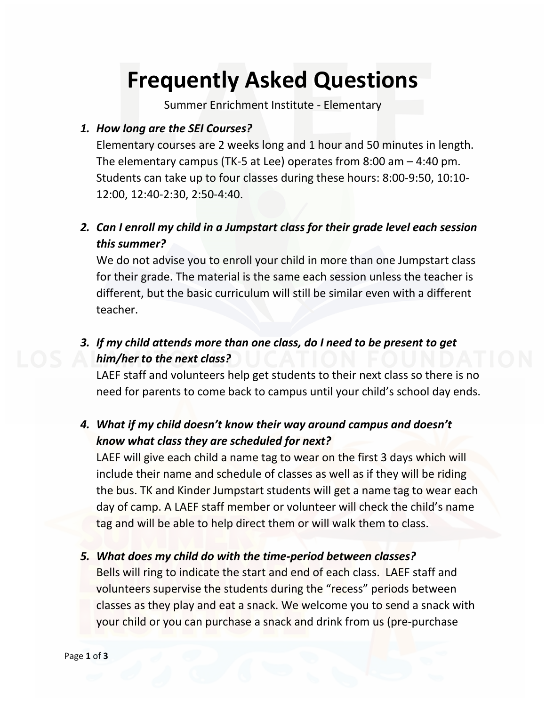# **Frequently Asked Questions**

Summer Enrichment Institute - Elementary

### *1. How long are the SEI Courses?*

Elementary courses are 2 weeks long and 1 hour and 50 minutes in length. The elementary campus (TK-5 at Lee) operates from 8:00 am – 4:40 pm. Students can take up to four classes during these hours: 8:00-9:50, 10:10- 12:00, 12:40-2:30, 2:50-4:40.

# *2. Can I enroll my child in a Jumpstart class for their grade level each session this summer?*

We do not advise you to enroll your child in more than one Jumpstart class for their grade. The material is the same each session unless the teacher is different, but the basic curriculum will still be similar even with a different teacher.

# *3. If my child attends more than one class, do I need to be present to get him/her to the next class?*

LAEF staff and volunteers help get students to their next class so there is no need for parents to come back to campus until your child's school day ends.

## *4. What if my child doesn't know their way around campus and doesn't know what class they are scheduled for next?*

LAEF will give each child a name tag to wear on the first 3 days which will include their name and schedule of classes as well as if they will be riding the bus. TK and Kinder Jumpstart students will get a name tag to wear each day of camp. A LAEF staff member or volunteer will check the child's name tag and will be able to help direct them or will walk them to class.

#### *5. What does my child do with the time-period between classes?*

Bells will ring to indicate the start and end of each class. LAEF staff and volunteers supervise the students during the "recess" periods between classes as they play and eat a snack. We welcome you to send a snack with your child or you can purchase a snack and drink from us (pre-purchase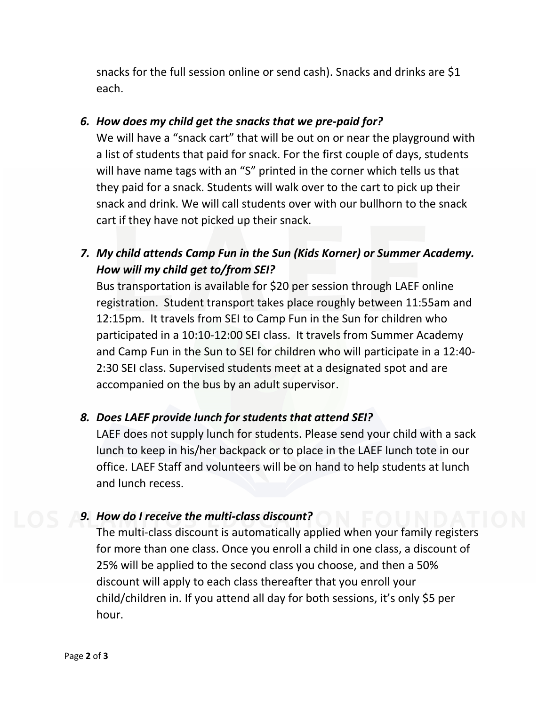snacks for the full session online or send cash). Snacks and drinks are \$1 each.

#### *6. How does my child get the snacks that we pre-paid for?*

We will have a "snack cart" that will be out on or near the playground with a list of students that paid for snack. For the first couple of days, students will have name tags with an "S" printed in the corner which tells us that they paid for a snack. Students will walk over to the cart to pick up their snack and drink. We will call students over with our bullhorn to the snack cart if they have not picked up their snack.

## *7. My child attends Camp Fun in the Sun (Kids Korner) or Summer Academy. How will my child get to/from SEI?*

Bus transportation is available for \$20 per session through LAEF online registration. Student transport takes place roughly between 11:55am and 12:15pm. It travels from SEI to Camp Fun in the Sun for children who participated in a 10:10-12:00 SEI class. It travels from Summer Academy and Camp Fun in the Sun to SEI for children who will participate in a 12:40- 2:30 SEI class. Supervised students meet at a designated spot and are accompanied on the bus by an adult supervisor.

### *8. Does LAEF provide lunch for students that attend SEI?*

LAEF does not supply lunch for students. Please send your child with a sack lunch to keep in his/her backpack or to place in the LAEF lunch tote in our office. LAEF Staff and volunteers will be on hand to help students at lunch and lunch recess.

#### *9. How do I receive the multi-class discount?*

The multi-class discount is automatically applied when your family registers for more than one class. Once you enroll a child in one class, a discount of 25% will be applied to the second class you choose, and then a 50% discount will apply to each class thereafter that you enroll your child/children in. If you attend all day for both sessions, it's only \$5 per hour.